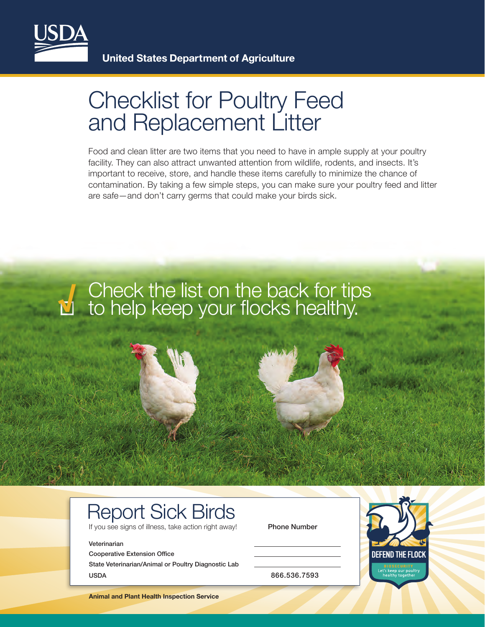

## Checklist for Poultry Feed and Replacement Litter

Food and clean litter are two items that you need to have in ample supply at your poultry facility. They can also attract unwanted attention from wildlife, rodents, and insects. It's important to receive, store, and handle these items carefully to minimize the chance of contamination. By taking a few simple steps, you can make sure your poultry feed and litter are safe—and don't carry germs that could make your birds sick.

# Check the list on the back for tips to help keep your flocks healthy. **√**

### Report Sick Birds

If you see signs of illness, take action right away! Phone Number

#### Veterinarian

Cooperative Extension Office State Veterinarian/Animal or Poultry Diagnostic Lab USDA 866.536.7593



**Animal and Plant Health Inspection Service**